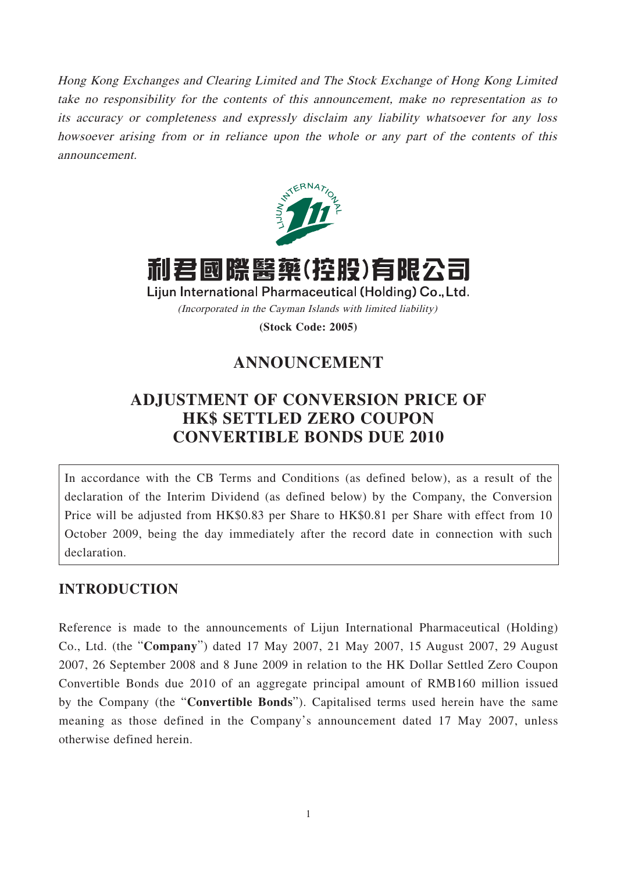Hong Kong Exchanges and Clearing Limited and The Stock Exchange of Hong Kong Limited take no responsibility for the contents of this announcement, make no representation as to its accuracy or completeness and expressly disclaim any liability whatsoever for any loss howsoever arising from or in reliance upon the whole or any part of the contents of this announcement.



利君國際醫藥(控股)有限公司

Lijun International Pharmaceutical (Holding) Co., Ltd. (Incorporated in the Cayman Islands with limited liability)

**(Stock Code: 2005)**

## **ANNOUNCEMENT**

## **ADJUSTMENT OF CONVERSION PRICE OF HK\$ SETTLED ZERO COUPON CONVERTIBLE BONDS DUE 2010**

In accordance with the CB Terms and Conditions (as defined below), as a result of the declaration of the Interim Dividend (as defined below) by the Company, the Conversion Price will be adjusted from HK\$0.83 per Share to HK\$0.81 per Share with effect from 10 October 2009, being the day immediately after the record date in connection with such declaration.

## **INTRODUCTION**

Reference is made to the announcements of Lijun International Pharmaceutical (Holding) Co., Ltd. (the "**Company**") dated 17 May 2007, 21 May 2007, 15 August 2007, 29 August 2007, 26 September 2008 and 8 June 2009 in relation to the HK Dollar Settled Zero Coupon Convertible Bonds due 2010 of an aggregate principal amount of RMB160 million issued by the Company (the "**Convertible Bonds**"). Capitalised terms used herein have the same meaning as those defined in the Company's announcement dated 17 May 2007, unless otherwise defined herein.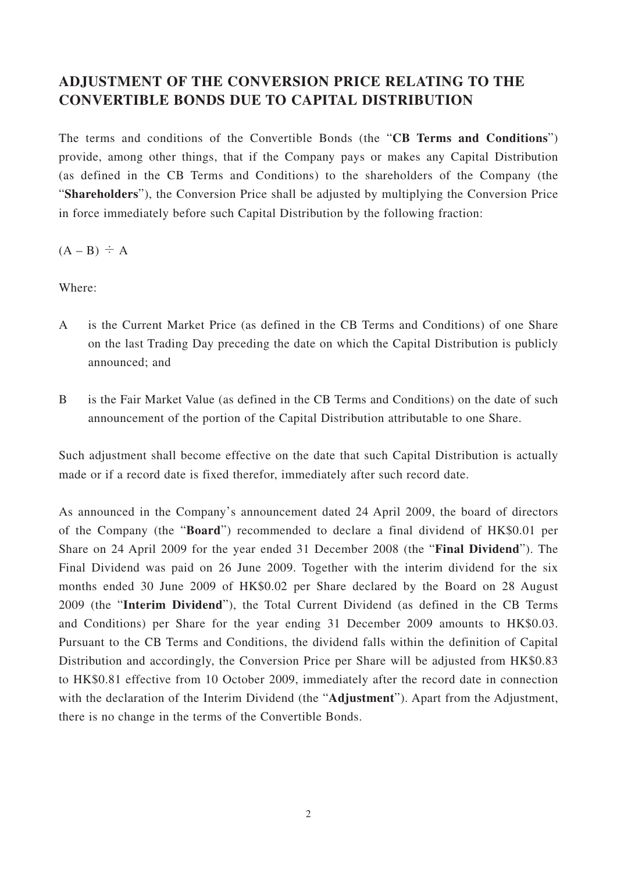## **ADJUSTMENT OF THE CONVERSION PRICE RELATING TO THE CONVERTIBLE BONDS DUE TO CAPITAL DISTRIBUTION**

The terms and conditions of the Convertible Bonds (the "**CB Terms and Conditions**") provide, among other things, that if the Company pays or makes any Capital Distribution (as defined in the CB Terms and Conditions) to the shareholders of the Company (the "**Shareholders**"), the Conversion Price shall be adjusted by multiplying the Conversion Price in force immediately before such Capital Distribution by the following fraction:

 $(A - B) \div A$ 

Where:

- A is the Current Market Price (as defined in the CB Terms and Conditions) of one Share on the last Trading Day preceding the date on which the Capital Distribution is publicly announced; and
- B is the Fair Market Value (as defined in the CB Terms and Conditions) on the date of such announcement of the portion of the Capital Distribution attributable to one Share.

Such adjustment shall become effective on the date that such Capital Distribution is actually made or if a record date is fixed therefor, immediately after such record date.

As announced in the Company's announcement dated 24 April 2009, the board of directors of the Company (the "**Board**") recommended to declare a final dividend of HK\$0.01 per Share on 24 April 2009 for the year ended 31 December 2008 (the "**Final Dividend**"). The Final Dividend was paid on 26 June 2009. Together with the interim dividend for the six months ended 30 June 2009 of HK\$0.02 per Share declared by the Board on 28 August 2009 (the "**Interim Dividend**"), the Total Current Dividend (as defined in the CB Terms and Conditions) per Share for the year ending 31 December 2009 amounts to HK\$0.03. Pursuant to the CB Terms and Conditions, the dividend falls within the definition of Capital Distribution and accordingly, the Conversion Price per Share will be adjusted from HK\$0.83 to HK\$0.81 effective from 10 October 2009, immediately after the record date in connection with the declaration of the Interim Dividend (the "**Adjustment**"). Apart from the Adjustment, there is no change in the terms of the Convertible Bonds.